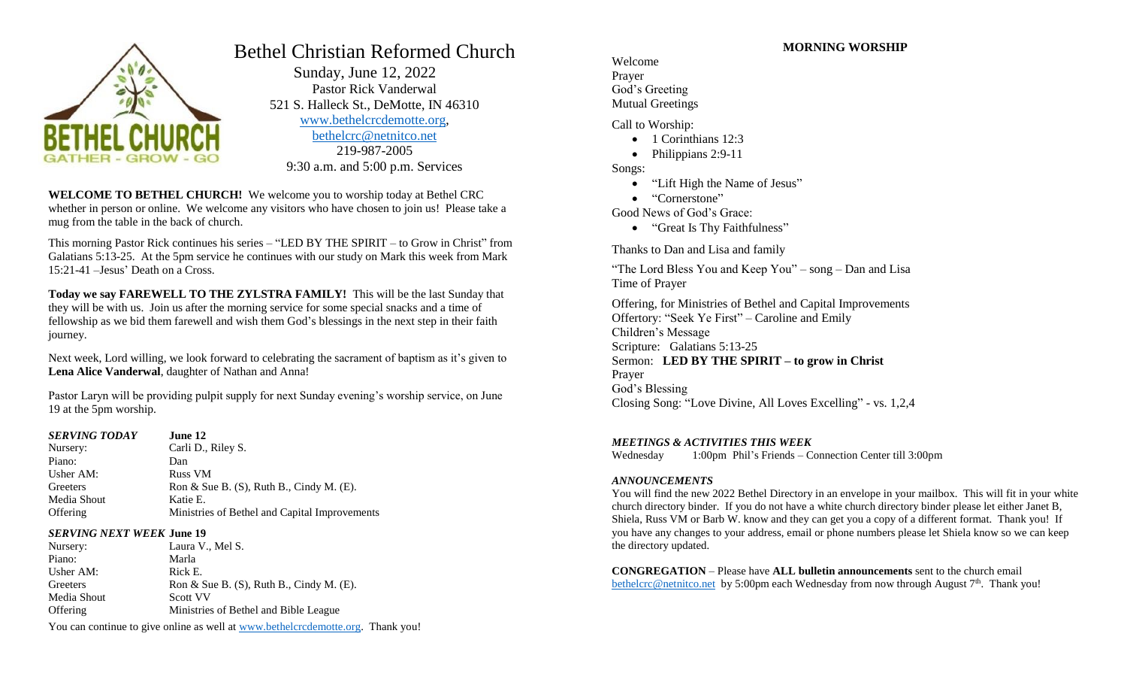

# Bethel Christian Reformed Church

 Sunday, June 12, 2022 Pastor Rick Vanderwal 521 S. Halleck St., DeMotte, IN 46310 [www.bethelcrcdemotte.org,](http://www.bethelcrcdemotte.org/) [bethelcrc@netnitco.net](mailto:bethelcrc@netnitco.net) 219-987-2005 9:30 a.m. and 5:00 p.m. Services

**WELCOME TO BETHEL CHURCH!** We welcome you to worship today at Bethel CRC whether in person or online. We welcome any visitors who have chosen to join us! Please take a mug from the table in the back of church.

This morning Pastor Rick continues his series – "LED BY THE SPIRIT – to Grow in Christ" from Galatians 5:13-25. At the 5pm service he continues with our study on Mark this week from Mark 15:21-41 –Jesus' Death on a Cross.

**Today we say FAREWELL TO THE ZYLSTRA FAMILY!** This will be the last Sunday that they will be with us. Join us after the morning service for some special snacks and a time of fellowship as we bid them farewell and wish them God's blessings in the next step in their faith journey.

Next week, Lord willing, we look forward to celebrating the sacrament of baptism as it's given to **Lena Alice Vanderwal**, daughter of Nathan and Anna!

Pastor Laryn will be providing pulpit supply for next Sunday evening's worship service, on June 19 at the 5pm worship.

| <b>SERVING TODAY</b> | June 12                                        |
|----------------------|------------------------------------------------|
| Nursery:             | Carli D., Riley S.                             |
| Piano:               | Dan                                            |
| Usher AM:            | <b>Russ VM</b>                                 |
| Greeters             | Ron & Sue B. $(S)$ , Ruth B., Cindy M. $(E)$ . |
| Media Shout          | Katie E.                                       |
| Offering             | Ministries of Bethel and Capital Improvements  |

#### *SERVING NEXT WEEK* **June 19**

| Nursery:    | Laura V., Mel S.                               |
|-------------|------------------------------------------------|
| Piano:      | Marla                                          |
| Usher AM:   | Rick E.                                        |
| Greeters    | Ron & Sue B. $(S)$ , Ruth B., Cindy M. $(E)$ . |
| Media Shout | <b>Scott VV</b>                                |
| Offering    | Ministries of Bethel and Bible League          |
|             |                                                |

You can continue to give online as well at [www.bethelcrcdemotte.org.](http://www.bethelcrcdemotte.org/) Thank you!

**MORNING WORSHIP**

Welcome Prayer God's Greeting Mutual Greetings

Call to Worship:

- 1 Corinthians 12:3
- Philippians 2:9-11

Songs:

- "Lift High the Name of Jesus"
- "Cornerstone"

Good News of God's Grace:

• "Great Is Thy Faithfulness"

Thanks to Dan and Lisa and family

"The Lord Bless You and Keep You" – song – Dan and Lisa Time of Prayer

Offering, for Ministries of Bethel and Capital Improvements Offertory: "Seek Ye First" – Caroline and Emily Children's Message Scripture: Galatians 5:13-25 Sermon: **LED BY THE SPIRIT – to grow in Christ** Prayer God's Blessing Closing Song: "Love Divine, All Loves Excelling" - vs. 1,2,4

## *MEETINGS & ACTIVITIES THIS WEEK*

Wednesday 1:00pm Phil's Friends – Connection Center till 3:00pm

## *ANNOUNCEMENTS*

You will find the new 2022 Bethel Directory in an envelope in your mailbox. This will fit in your white church directory binder. If you do not have a white church directory binder please let either Janet B, Shiela, Russ VM or Barb W. know and they can get you a copy of a different format. Thank you! If you have any changes to your address, email or phone numbers please let Shiela know so we can keep the directory updated.

**CONGREGATION** – Please have **ALL bulletin announcements** sent to the church email [bethelcrc@netnitco.net](mailto:bethelcrc@netnitco.net) by 5:00pm each Wednesday from now through August  $7<sup>th</sup>$ . Thank you!